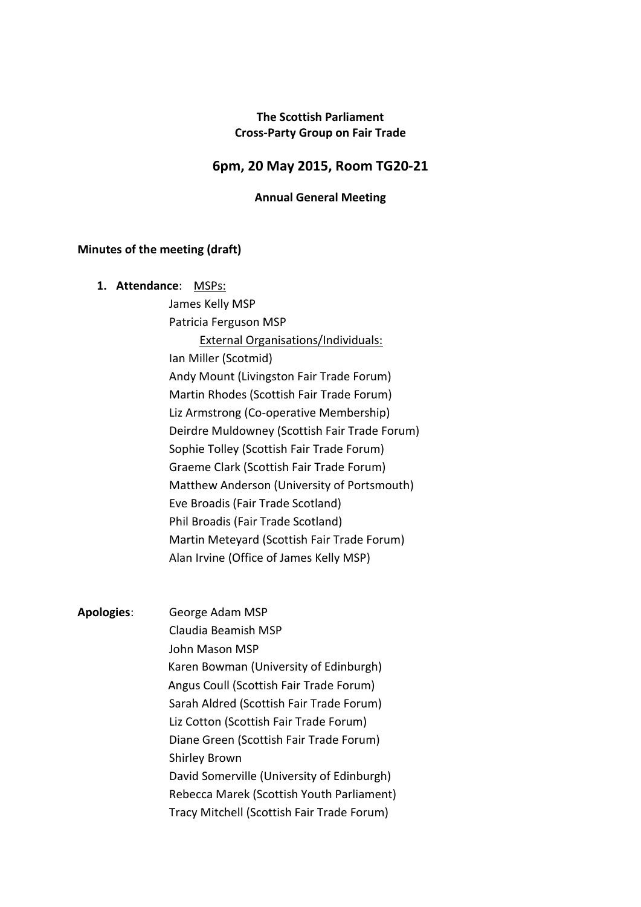# **The Scottish Parliament Cross-Party Group on Fair Trade**

# **6pm, 20 May 2015, Room TG20-21**

#### **Annual General Meeting**

#### **Minutes of the meeting (draft)**

| MSPs: |
|-------|
|       |

James Kelly MSP Patricia Ferguson MSP External Organisations/Individuals: Ian Miller (Scotmid) Andy Mount (Livingston Fair Trade Forum) Martin Rhodes (Scottish Fair Trade Forum) Liz Armstrong (Co-operative Membership) Deirdre Muldowney (Scottish Fair Trade Forum) Sophie Tolley (Scottish Fair Trade Forum) Graeme Clark (Scottish Fair Trade Forum) Matthew Anderson (University of Portsmouth) Eve Broadis (Fair Trade Scotland) Phil Broadis (Fair Trade Scotland) Martin Meteyard (Scottish Fair Trade Forum) Alan Irvine (Office of James Kelly MSP)

**Apologies**: George Adam MSP Claudia Beamish MSP John Mason MSP Karen Bowman (University of Edinburgh) Angus Coull (Scottish Fair Trade Forum) Sarah Aldred (Scottish Fair Trade Forum) Liz Cotton (Scottish Fair Trade Forum) Diane Green (Scottish Fair Trade Forum) Shirley Brown David Somerville (University of Edinburgh) Rebecca Marek (Scottish Youth Parliament) Tracy Mitchell (Scottish Fair Trade Forum)